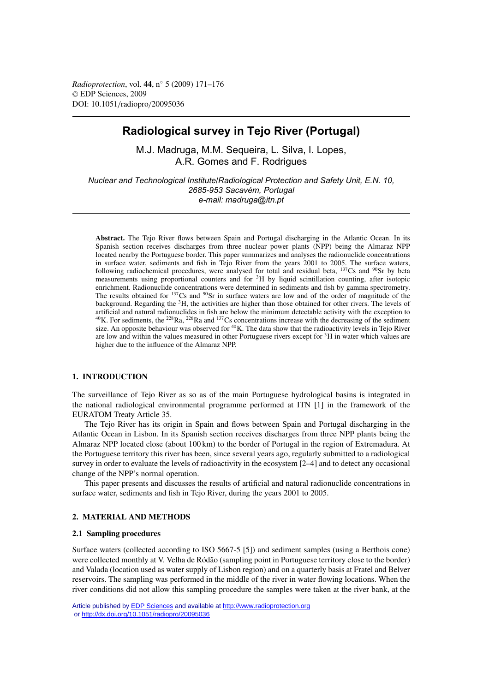*Radioprotection*, vol. **44**, n◦ 5 (2009) 171–176 © EDP Sciences, 2009 DOI: 10.1051/radiopro/20095036

# **Radiological survey in Tejo River (Portugal)**

M.J. Madruga, M.M. Sequeira, L. Silva, I. Lopes, A.R. Gomes and F. Rodrigues

*Nuclear and Technological Institute/Radiological Protection and Safety Unit, E.N. 10, 2685-953 Sacavém, Portugal e-mail: madruga@itn.pt*

**Abstract.** The Tejo River flows between Spain and Portugal discharging in the Atlantic Ocean. In its Spanish section receives discharges from three nuclear power plants (NPP) being the Almaraz NPP located nearby the Portuguese border. This paper summarizes and analyses the radionuclide concentrations in surface water, sediments and fish in Tejo River from the years 2001 to 2005. The surface waters, following radiochemical procedures, were analysed for total and residual beta,  $^{137}Cs$  and  $^{90}Sr$  by beta measurements using proportional counters and for 3H by liquid scintillation counting, after isotopic enrichment. Radionuclide concentrations were determined in sediments and fish by gamma spectrometry. The results obtained for <sup>137</sup>Cs and <sup>90</sup>Sr in surface waters are low and of the order of magnitude of the background. Regarding the 3H, the activities are higher than those obtained for other rivers. The levels of artificial and natural radionuclides in fish are below the minimum detectable activity with the exception to  $^{40}$ K. For sediments, the  $^{228}$ Ra,  $^{226}$ Ra and  $^{137}$ Cs concentrations increase with the decreasing of the sediment size. An opposite behaviour was observed for <sup>40</sup>K. The data show that the radioactivity levels in Tejo River are low and within the values measured in other Portuguese rivers except for 3H in water which values are higher due to the influence of the Almaraz NPP.

# **1. INTRODUCTION**

The surveillance of Tejo River as so as of the main Portuguese hydrological basins is integrated in the national radiological environmental programme performed at ITN [1] in the framework of the EURATOM Treaty Article 35.

The Tejo River has its origin in Spain and flows between Spain and Portugal discharging in the Atlantic Ocean in Lisbon. In its Spanish section receives discharges from three NPP plants being the Almaraz NPP located close (about 100 km) to the border of Portugal in the region of Extremadura. At the Portuguese territory this river has been, since several years ago, regularly submitted to a radiological survey in order to evaluate the levels of radioactivity in the ecosystem [2–4] and to detect any occasional change of the NPP's normal operation.

This paper presents and discusses the results of artificial and natural radionuclide concentrations in surface water, sediments and fish in Tejo River, during the years 2001 to 2005.

# **2. MATERIAL AND METHODS**

### **2.1 Sampling procedures**

Surface waters (collected according to ISO 5667-5 [5]) and sediment samples (using a Berthois cone) were collected monthly at V. Velha de Ródão (sampling point in Portuguese territory close to the border) and Valada (location used as water supply of Lisbon region) and on a quarterly basis at Fratel and Belver reservoirs. The sampling was performed in the middle of the river in water flowing locations. When the river conditions did not allow this sampling procedure the samples were taken at the river bank, at the

Article published by [EDP Sciences](http://www.edpsciences.org) and available at<http://www.radioprotection.org> or <http://dx.doi.org/10.1051/radiopro/20095036>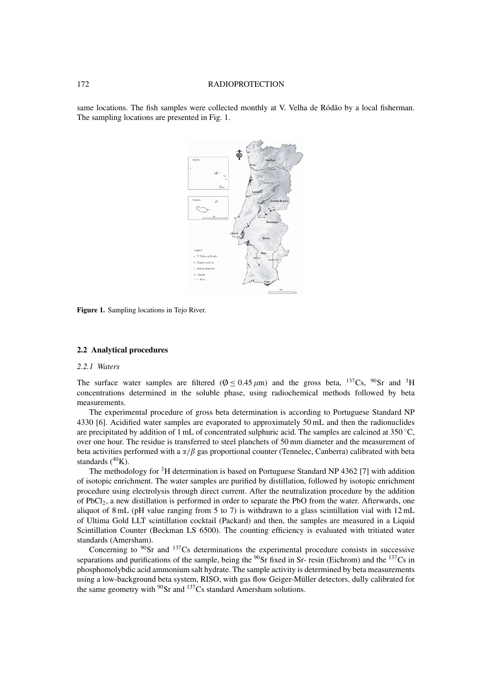### 172 RADIOPROTECTION

same locations. The fish samples were collected monthly at V. Velha de Ródão by a local fisherman. The sampling locations are presented in Fig. 1.



**Figure 1.** Sampling locations in Tejo River.

#### **2.2 Analytical procedures**

### *2.2.1 Waters*

The surface water samples are filtered ( $\phi$  < 0.45  $\mu$ m) and the gross beta, <sup>137</sup>Cs, <sup>90</sup>Sr and <sup>3</sup>H concentrations determined in the soluble phase, using radiochemical methods followed by beta measurements.

The experimental procedure of gross beta determination is according to Portuguese Standard NP 4330 [6]. Acidified water samples are evaporated to approximately 50 mL and then the radionuclides are precipitated by addition of 1 mL of concentrated sulphuric acid. The samples are calcined at 350 ◦C, over one hour. The residue is transferred to steel planchets of 50 mm diameter and the measurement of beta activities performed with a  $\alpha/\beta$  gas proportional counter (Tennelec, Canberra) calibrated with beta standards  $(^{40}K)$ .

The methodology for <sup>3</sup>H determination is based on Portuguese Standard NP 4362 [7] with addition of isotopic enrichment. The water samples are purified by distillation, followed by isotopic enrichment procedure using electrolysis through direct current. After the neutralization procedure by the addition of PbCl2, a new distillation is performed in order to separate the PbO from the water. Afterwards, one aliquot of 8 mL (pH value ranging from 5 to 7) is withdrawn to a glass scintillation vial with 12 mL of Ultima Gold LLT scintillation cocktail (Packard) and then, the samples are measured in a Liquid Scintillation Counter (Beckman LS 6500). The counting efficiency is evaluated with tritiated water standards (Amersham).

Concerning to  $90$ Sr and  $137$ Cs determinations the experimental procedure consists in successive separations and purifications of the sample, being the  $90\text{Sr}$  fixed in Sr- resin (Eichrom) and the  $137\text{Cs}$  in phosphomolybdic acid ammonium salt hydrate. The sample activity is determined by beta measurements using a low-background beta system, RISO, with gas flow Geiger-Müller detectors, dully calibrated for the same geometry with  $90$ Sr and  $137$ Cs standard Amersham solutions.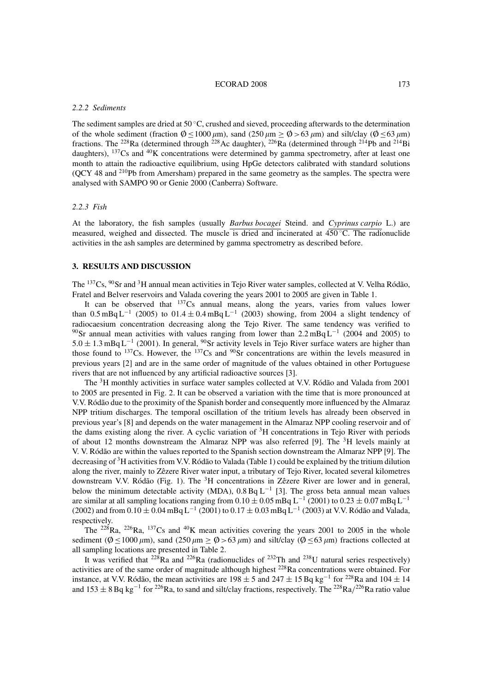#### ECORAD 2008 173

#### *2.2.2 Sediments*

The sediment samples are dried at 50  $\degree$ C, crushed and sieved, proceeding afterwards to the determination of the whole sediment (fraction  $\phi \le 1000 \,\mu\text{m}$ ), sand (250  $\mu$ m  $\ge \phi > 63 \,\mu$ m) and silt/clay ( $\phi \le 63 \,\mu$ m) fractions. The 228Ra (determined through 228Ac daughter), 226Ra (determined through 214Pb and 214Bi daughters), <sup>137</sup>Cs and <sup>40</sup>K concentrations were determined by gamma spectrometry, after at least one month to attain the radioactive equilibrium, using HpGe detectors calibrated with standard solutions (QCY 48 and 210Pb from Amersham) prepared in the same geometry as the samples. The spectra were analysed with SAMPO 90 or Genie 2000 (Canberra) Software.

#### *2.2.3 Fish*

At the laboratory, the fish samples (usually *Barbus bocagei* Steind. and *Cyprinus carpio* L.) are measured, weighed and dissected. The muscle is dried and incinerated at  $450^{\circ}$ C. The radionuclide activities in the ash samples are determined by gamma spectrometry as described before.

# **3. RESULTS AND DISCUSSION**

The <sup>137</sup>Cs, <sup>90</sup>Sr and <sup>3</sup>H annual mean activities in Tejo River water samples, collected at V. Velha Ródão, Fratel and Belver reservoirs and Valada covering the years 2001 to 2005 are given in Table 1.

It can be observed that  $137Cs$  annual means, along the years, varies from values lower than 0.5 mBq L<sup>-1</sup> (2005) to 01.4 ± 0.4 mBq L<sup>-1</sup> (2003) showing, from 2004 a slight tendency of radiocaesium concentration decreasing along the Tejo River. The same tendency was verified to <sup>90</sup>Sr annual mean activities with values ranging from lower than 2.2 mBq L<sup>-1</sup> (2004 and 2005) to  $5.0 \pm 1.3 \text{ mBq L}^{-1}$  (2001). In general, <sup>90</sup>Sr activity levels in Tejo River surface waters are higher than those found to  $137Cs$ . However, the  $137Cs$  and  $90Sr$  concentrations are within the levels measured in previous years [2] and are in the same order of magnitude of the values obtained in other Portuguese rivers that are not influenced by any artificial radioactive sources [3].

The 3H monthly activities in surface water samples collected at V.V. Ródão and Valada from 2001 to 2005 are presented in Fig. 2. It can be observed a variation with the time that is more pronounced at V.V. Ródão due to the proximity of the Spanish border and consequently more influenced by the Almaraz NPP tritium discharges. The temporal oscillation of the tritium levels has already been observed in previous year's [8] and depends on the water management in the Almaraz NPP cooling reservoir and of the dams existing along the river. A cyclic variation of  ${}^{3}H$  concentrations in Tejo River with periods of about 12 months downstream the Almaraz NPP was also referred [9]. The  $3H$  levels mainly at V. V. Ródão are within the values reported to the Spanish section downstream the Almaraz NPP [9]. The decreasing of 3H activities from V.V. Ródão to Valada (Table 1) could be explained by the tritium dilution along the river, mainly to Zêzere River water input, a tributary of Tejo River, located several kilometres downstream V.V. Ródão (Fig. 1). The 3H concentrations in Zêzere River are lower and in general, below the minimum detectable activity (MDA),  $0.8$  Bq L<sup>-1</sup> [3]. The gross beta annual mean values are similar at all sampling locations ranging from  $0.10 \pm 0.05$  mBq L<sup>-1</sup> (2001) to  $0.23 \pm 0.07$  mBq L<sup>-1</sup> (2002) and from  $0.10 \pm 0.04 \text{ mBg L}^{-1}$  (2001) to  $0.17 \pm 0.03 \text{ mBg L}^{-1}$  (2003) at V.V. Ródão and Valada, respectively.

The <sup>228</sup>Ra, <sup>226</sup>Ra, <sup>137</sup>Cs and <sup>40</sup>K mean activities covering the years 2001 to 2005 in the whole sediment ( $\phi \le 1000 \,\mu$ m), sand (250  $\mu$ m  $\ge \phi > 63 \,\mu$ m) and silt/clay ( $\phi \le 63 \,\mu$ m) fractions collected at all sampling locations are presented in Table 2.

It was verified that  $^{228}$ Ra and  $^{226}$ Ra (radionuclides of  $^{232}$ Th and  $^{238}$ U natural series respectively) activities are of the same order of magnitude although highest 228Ra concentrations were obtained. For instance, at V.V. Ródão, the mean activities are  $198 \pm 5$  and  $247 \pm 15$  Bq kg<sup>-1</sup> for <sup>228</sup>Ra and  $104 \pm 14$ and  $153 \pm 8$  Bq kg<sup>-1</sup> for <sup>226</sup>Ra, to sand and silt/clay fractions, respectively. The <sup>228</sup>Ra/<sup>226</sup>Ra ratio value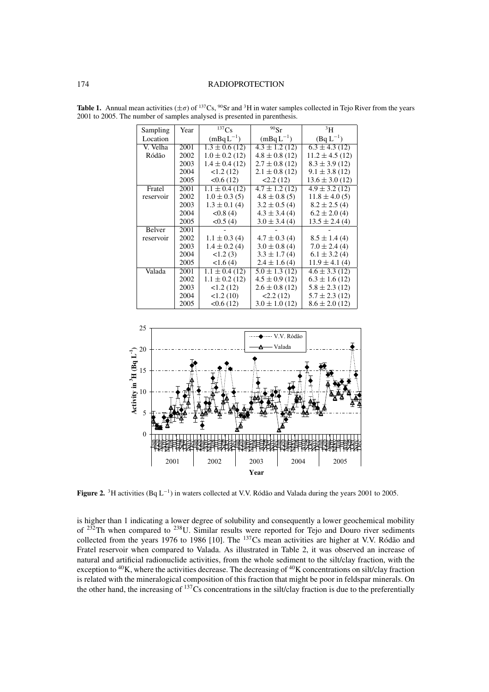## 174 RADIOPROTECTION

| Sampling  | Year | 137Cs                         | $90$ Sr            | 3H                  |
|-----------|------|-------------------------------|--------------------|---------------------|
| Location  |      | $(mBqL^{-1})$                 | $(mBqL^{-1})$      | $(Bq L^{-1})$       |
| V. Velha  | 2001 | $\overline{1.3 \pm 0.6}$ (12) | $4.3 \pm 1.2$ (12) | $6.3 \pm 4.3$ (12)  |
| Ródão     | 2002 | $1.0 \pm 0.2$ (12)            | $4.8 \pm 0.8$ (12) | $11.2 \pm 4.5$ (12) |
|           | 2003 | $1.4 \pm 0.4$ (12)            | $2.7 \pm 0.8$ (12) | $8.3 \pm 3.9$ (12)  |
|           | 2004 | 1.2(12)                       | $2.1 \pm 0.8$ (12) | $9.1 \pm 3.8$ (12)  |
|           | 2005 | <0.6(12)                      | 2.2(12)            | $13.6 \pm 3.0$ (12) |
| Fratel    | 2001 | $1.1 \pm 0.4$ (12)            | $4.7 \pm 1.2$ (12) | $4.9 \pm 3.2$ (12)  |
| reservoir | 2002 | $1.0 \pm 0.3$ (5)             | $4.8 \pm 0.8$ (5)  | $11.8 \pm 4.0(5)$   |
|           | 2003 | $1.3 \pm 0.1$ (4)             | $3.2 \pm 0.5$ (4)  | $8.2 \pm 2.5(4)$    |
|           | 2004 | < 0.8(4)                      | $4.3 \pm 3.4(4)$   | $6.2 \pm 2.0$ (4)   |
|           | 2005 | <0.5(4)                       | $3.0 \pm 3.4(4)$   | $13.5 \pm 2.4(4)$   |
| Belver    | 2001 |                               |                    |                     |
| reservoir | 2002 | $1.1 \pm 0.3$ (4)             | $4.7 \pm 0.3$ (4)  | $8.5 \pm 1.4(4)$    |
|           | 2003 | $1.4 \pm 0.2$ (4)             | $3.0 \pm 0.8$ (4)  | $7.0 \pm 2.4(4)$    |
|           | 2004 | 1.2(3)                        | $3.3 \pm 1.7(4)$   | $6.1 \pm 3.2$ (4)   |
|           | 2005 | 1.6(4)                        | $2.4 \pm 1.6(4)$   | $11.9 \pm 4.1(4)$   |
| Valada    | 2001 | $1.1 \pm 0.4$ (12)            | $5.0 \pm 1.3$ (12) | $4.6 \pm 3.3$ (12)  |
|           | 2002 | $1.1 \pm 0.2$ (12)            | $4.5 \pm 0.9$ (12) | $6.3 \pm 1.6$ (12)  |
|           | 2003 | 1.2(12)                       | $2.6 \pm 0.8$ (12) | $5.8 \pm 2.3$ (12)  |
|           | 2004 | <1.2(10)                      | 2.2(12)            | $5.7 \pm 2.3$ (12)  |
|           | 2005 | <0.6(12)                      | $3.0 \pm 1.0$ (12) | $8.6 \pm 2.0$ (12)  |

**Table 1.** Annual mean activities  $(\pm \sigma)$  of <sup>137</sup>Cs, <sup>90</sup>Sr and <sup>3</sup>H in water samples collected in Tejo River from the years 2001 to 2005. The number of samples analysed is presented in parenthesis.



**Figure 2.** 3H activities (Bq L−<sup>1</sup> ) in waters collected at V.V. Ródão and Valada during the years 2001 to 2005.

is higher than 1 indicating a lower degree of solubility and consequently a lower geochemical mobility of <sup>232</sup>Th when compared to <sup>238</sup>U. Similar results were reported for Tejo and Douro river sediments collected from the years 1976 to 1986 [10]. The <sup>137</sup>Cs mean activities are higher at V.V. Ródão and Fratel reservoir when compared to Valada. As illustrated in Table 2, it was observed an increase of natural and artificial radionuclide activities, from the whole sediment to the silt/clay fraction, with the exception to  ${}^{40}$ K, where the activities decrease. The decreasing of  ${}^{40}$ K concentrations on silt/clay fraction is related with the mineralogical composition of this fraction that might be poor in feldspar minerals. On the other hand, the increasing of 137Cs concentrations in the silt/clay fraction is due to the preferentially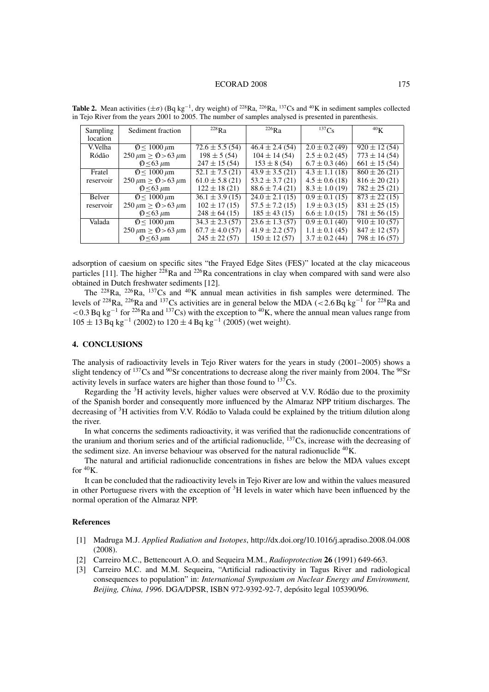#### ECORAD 2008 175

| <b>Sampling</b><br>location | Sediment fraction                   | $^{228}$ R <sub>a</sub>        | $^{226}$ Ra         | $^{137}Cs$                    | 40 <sub>K</sub>   |
|-----------------------------|-------------------------------------|--------------------------------|---------------------|-------------------------------|-------------------|
| V.Velha                     | $\phi$ < 1000 $\mu$ m               | $72.6 \pm 5.5(54)$             | $46.4 \pm 2.4(54)$  | $2.0 \pm 0.2$ (49)            | $920 \pm 12(54)$  |
| Ródão                       | $250 \,\mu m \ge \phi$ > 63 $\mu m$ | $198 \pm 5(54)$                | $104 \pm 14(54)$    | $2.5 \pm 0.2$ (45)            | $773 \pm 14(54)$  |
|                             | $\phi$ < 63 $\mu$ m                 | $247 \pm 15(54)$               | $153 \pm 8(54)$     | $6.7 \pm 0.3$ (46)            | $661 \pm 15(54)$  |
| Fratel                      | $\phi$ < 1000 $\mu$ m               | $52.1 \pm 7.5$ (21)            | $43.9 \pm 3.5(21)$  | $4.3 \pm 1.1$ (18)            | $860 \pm 26$ (21) |
| reservoir                   | $250 \,\mu m \ge \phi$ > 63 $\mu m$ | $61.0 \pm 5.8$ (21)            | $53.2 \pm 3.7(21)$  | $4.5 \pm 0.6$ (18)            | $816 \pm 20(21)$  |
|                             | $\phi$ < 63 $\mu$ m                 | $122 \pm 18(21)$               | $88.6 \pm 7.4(21)$  | $8.3 \pm 1.0$ (19)            | $782 \pm 25(21)$  |
| <b>Belver</b>               | $\phi$ < 1000 $\mu$ m               | $\overline{36.1 \pm 3.9}$ (15) | $24.0 \pm 2.1(15)$  | $\overline{0.9 \pm 0.1}$ (15) | $873 \pm 22(15)$  |
| reservoir                   | $250 \,\mu m \ge \phi > 63 \,\mu m$ | $102 \pm 17(15)$               | $57.5 \pm 7.2$ (15) | $1.9 \pm 0.3$ (15)            | $831 \pm 25$ (15) |
|                             | $\phi$ < 63 $\mu$ m                 | $248 \pm 64$ (15)              | $185 \pm 43(15)$    | $6.6 \pm 1.0$ (15)            | $781 \pm 56(15)$  |
| Valada                      | $\phi$ < 1000 $\mu$ m               | $34.3 \pm 2.3(57)$             | $23.6 \pm 1.3(57)$  | $0.9 \pm 0.1$ (40)            | $910 \pm 10(57)$  |
|                             | $250 \,\mu m \ge \phi > 63 \,\mu m$ | $67.7 \pm 4.0(57)$             | $41.9 \pm 2.2$ (57) | $1.1 \pm 0.1$ (45)            | $847 \pm 12(57)$  |
|                             | $\phi$ < 63 $\mu$ m                 | $245 \pm 22(57)$               | $150 \pm 12(57)$    | $3.7 \pm 0.2$ (44)            | $798 \pm 16(57)$  |

**Table 2.** Mean activities  $(\pm \sigma)$  (Bq kg<sup>-1</sup>, dry weight) of <sup>228</sup>Ra, <sup>226</sup>Ra, <sup>137</sup>Cs and <sup>40</sup>K in sediment samples collected in Tejo River from the years 2001 to 2005. The number of samples analysed is presented in parenthesis.

adsorption of caesium on specific sites "the Frayed Edge Sites (FES)" located at the clay micaceous particles [11]. The higher  $2^{28}$ Ra and  $2^{26}$ Ra concentrations in clay when compared with sand were also obtained in Dutch freshwater sediments [12].

The <sup>228</sup>Ra, <sup>226</sup>Ra, <sup>137</sup>Cs and <sup>40</sup>K annual mean activities in fish samples were determined. The levels of 228Ra, 226Ra and 137Cs activities are in general below the MDA (<2.6 Bq kg−<sup>1</sup> for 228Ra and  $<$  0.3 Bq kg<sup>-1</sup> for <sup>226</sup>Ra and <sup>137</sup>Cs) with the exception to <sup>40</sup>K, where the annual mean values range from  $105 \pm 13$  Bq kg<sup>-1</sup> (2002) to  $120 \pm 4$  Bq kg<sup>-1</sup> (2005) (wet weight).

# **4. CONCLUSIONS**

The analysis of radioactivity levels in Tejo River waters for the years in study (2001–2005) shows a slight tendency of  $137$ Cs and  $90$ Sr concentrations to decrease along the river mainly from 2004. The  $90$ Sr activity levels in surface waters are higher than those found to  $137\text{Cs}$ .

Regarding the  $3H$  activity levels, higher values were observed at V.V. Ródão due to the proximity of the Spanish border and consequently more influenced by the Almaraz NPP tritium discharges. The decreasing of 3H activities from V.V. Ródão to Valada could be explained by the tritium dilution along the river.

In what concerns the sediments radioactivity, it was verified that the radionuclide concentrations of the uranium and thorium series and of the artificial radionuclide,  $137Cs$ , increase with the decreasing of the sediment size. An inverse behaviour was observed for the natural radionuclide <sup>40</sup>K.

The natural and artificial radionuclide concentrations in fishes are below the MDA values except for  ${}^{40}$ K.

It can be concluded that the radioactivity levels in Tejo River are low and within the values measured in other Portuguese rivers with the exception of  ${}^{3}H$  levels in water which have been influenced by the normal operation of the Almaraz NPP.

### **References**

- [1] Madruga M.J. *Applied Radiation and Isotopes*, http://dx.doi.org/10.1016/j.apradiso.2008.04.008 (2008).
- [2] Carreiro M.C., Bettencourt A.O. and Sequeira M.M., *Radioprotection* **26** (1991) 649-663.
- [3] Carreiro M.C. and M.M. Sequeira, "Artificial radioactivity in Tagus River and radiological consequences to population" in: *International Symposium on Nuclear Energy and Environment, Beijing, China, 1996*. DGA/DPSR, ISBN 972-9392-92-7, depósito legal 105390/96.